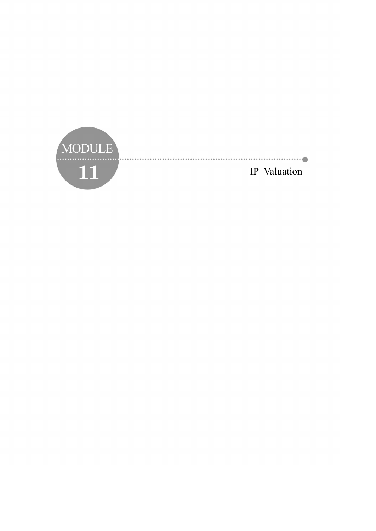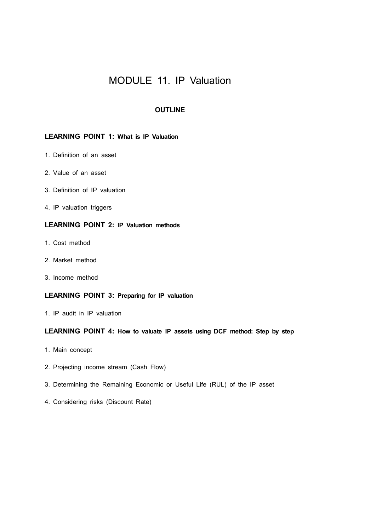# MODULE 11. IP Valuation

### **OUTLINE**

## **LEARNING POINT 1: What is IP Valuation**

- 1. Definition of an asset
- 2. Value of an asset
- 3. Definition of IP valuation
- 4. IP valuation triggers

# **LEARNING POINT 2: IP Valuation methods**

- 1. Cost method
- 2. Market method
- 3. Income method

### **LEARNING POINT 3: Preparing for IP valuation**

1. IP audit in IP valuation

### **LEARNING POINT 4: How to valuate IP assets using DCF method: Step by step**

- 1. Main concept
- 2. Projecting income stream (Cash Flow)
- 3. Determining the Remaining Economic or Useful Life (RUL) of the IP asset
- 4. Considering risks (Discount Rate)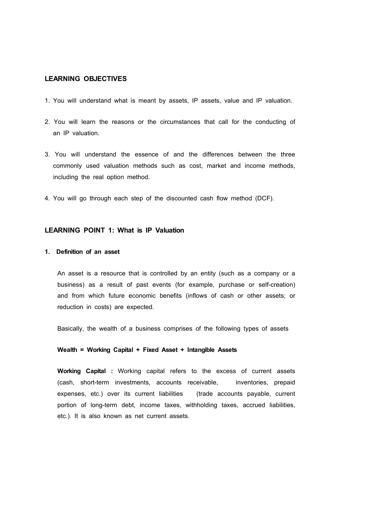### **LEARNING OBJECTIVES**

- 1. You will understand what is meant by assets, IP assets, value and IP valuation.
- 2. You will learn the reasons or the circumstances that call for the conducting of an IP valuation.
- 3. You will understand the essence of and the differences between the three commonly used valuation methods such as cost, market and income methods, including the real option method.
- 4. You will go through each step of the discounted cash flow method (DCF).

### **LEARNING POINT 1: What is IP Valuation**

### **1. Definition of an asset**

 An asset is a resource that is controlled by an entity (such as a company or a business) as a result of past events (for example, purchase or self-creation) and from which future economic benefits (inflows of cash or other assets; or reduction in costs) are expected.

Basically, the wealth of a business comprises of the following types of assets

#### **Wealth = Working Capital + Fixed Asset + Intangible Assets**

 **Working Capital :** Working capital refers to the excess of current assets (cash, short-term investments, accounts receivable, inventories, prepaid expenses, etc.) over its current liabilities (trade accounts payable, current portion of long-term debt, income taxes, withholding taxes, accrued liabilities, etc.). It is also known as net current assets.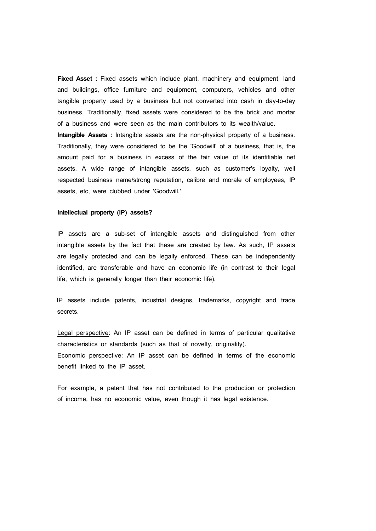**Fixed Asset :** Fixed assets which include plant, machinery and equipment, land and buildings, office furniture and equipment, computers, vehicles and other tangible property used by a business but not converted into cash in day-to-day business. Traditionally, fixed assets were considered to be the brick and mortar of a business and were seen as the main contributors to its wealth/value.

 **Intangible Assets :** Intangible assets are the non-physical property of a business. Traditionally, they were considered to be the 'Goodwill' of a business, that is, the amount paid for a business in excess of the fair value of its identifiable net assets. A wide range of intangible assets, such as customer's loyalty, well respected business name/strong reputation, calibre and morale of employees, IP assets, etc, were clubbed under 'Goodwill.'

#### **Intellectual property (IP) assets?**

 IP assets are a sub-set of intangible assets and distinguished from other intangible assets by the fact that these are created by law. As such, IP assets are legally protected and can be legally enforced. These can be independently identified, are transferable and have an economic life (in contrast to their legal life, which is generally longer than their economic life).

IP assets include patents, industrial designs, trademarks, copyright and trade secrets.

 Legal perspective: An IP asset can be defined in terms of particular qualitative characteristics or standards (such as that of novelty, originality). Economic perspective: An IP asset can be defined in terms of the economic benefit linked to the IP asset.

 For example, a patent that has not contributed to the production or protection of income, has no economic value, even though it has legal existence.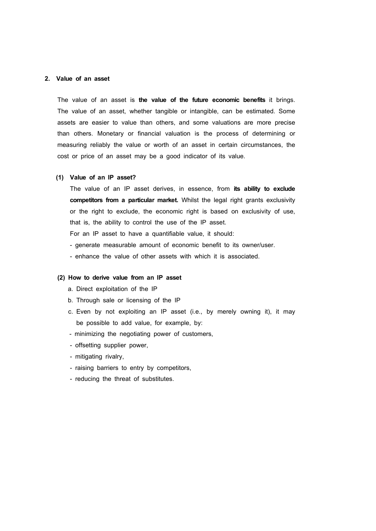### **2. Value of an asset**

 The value of an asset is **the value of the future economic benefits** it brings. The value of an asset, whether tangible or intangible, can be estimated. Some assets are easier to value than others, and some valuations are more precise than others. Monetary or financial valuation is the process of determining or measuring reliably the value or worth of an asset in certain circumstances, the cost or price of an asset may be a good indicator of its value.

### **(1) Value of an IP asset?**

The value of an IP asset derives, in essence, from **its ability to exclude competitors from a particular market.** Whilst the legal right grants exclusivity or the right to exclude, the economic right is based on exclusivity of use, that is, the ability to control the use of the IP asset.

- For an IP asset to have a quantifiable value, it should:<br>- generate measurable amount of economic benefit to its owner/user.
- enhance the value of other assets with which it is associated.

### **(2) How to derive value from an IP asset**

- a. Direct exploitation of the IP
- b. Through sale or licensing of the IP
- c. Even by not exploiting an IP asset (i.e., by merely owning it), it may be possible to add value, for example, by:<br>- minimizing the negotiating power of customers,
- 
- offsetting supplier power,
- mitigating rivalry,
- raising barriers to entry by competitors,
- reducing the threat of substitutes.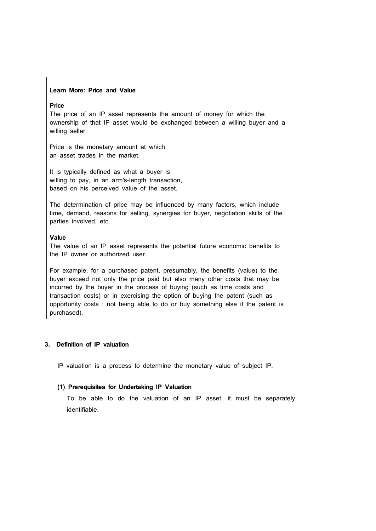#### **Learn More: Price and Value**

### **Price**

The price of an IP asset represents the amount of money for which the ownership of that IP asset would be exchanged between a willing buyer and a willing seller.

Price is the monetary amount at which an asset trades in the market.

It is typically defined as what a buyer is willing to pay, in an arm's-length transaction, based on his perceived value of the asset.

The determination of price may be influenced by many factors, which include time, demand, reasons for selling, synergies for buyer, negotiation skills of the parties involved, etc.

### **Value**

The value of an IP asset represents the potential future economic benefits to the IP owner or authorized user.

For example, for a purchased patent, presumably, the benefits (value) to the buyer exceed not only the price paid but also many other costs that may be incurred by the buyer in the process of buying (such as time costs and transaction costs) or in exercising the option of buying the patent (such as opportunity costs : not being able to do or buy something else if the patent is purchased).

### **3. Definition of IP valuation**

IP valuation is a process to determine the monetary value of subject IP.

#### **(1) Prerequisites for Undertaking IP Valuation**

 To be able to do the valuation of an IP asset, it must be separately identifiable.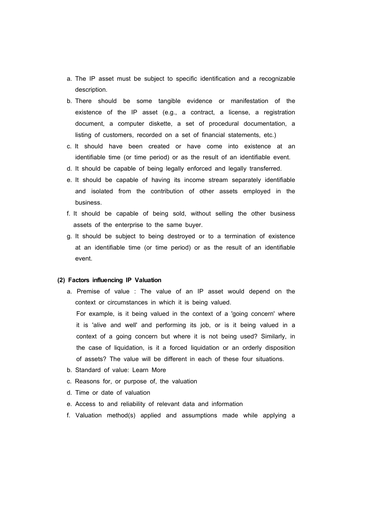- a. The IP asset must be subject to specific identification and a recognizable description.
- b. There should be some tangible evidence or manifestation of the existence of the IP asset (e.g., a contract, a license, a registration document, a computer diskette, a set of procedural documentation, a listing of customers, recorded on a set of financial statements, etc.)
- c. It should have been created or have come into existence at an identifiable time (or time period) or as the result of an identifiable event.
- d. It should be capable of being legally enforced and legally transferred.
- e. It should be capable of having its income stream separately identifiable and isolated from the contribution of other assets employed in the business.
- f. It should be capable of being sold, without selling the other business assets of the enterprise to the same buyer.
- g. It should be subject to being destroyed or to a termination of existence at an identifiable time (or time period) or as the result of an identifiable event.

#### **(2) Factors influencing IP Valuation**

a. Premise of value : The value of an IP asset would depend on the context or circumstances in which it is being valued.

 For example, is it being valued in the context of a 'going concern' where it is 'alive and well' and performing its job, or is it being valued in a context of a going concern but where it is not being used? Similarly, in the case of liquidation, is it a forced liquidation or an orderly disposition of assets? The value will be different in each of these four situations.

- b. Standard of value: Learn More
- c. Reasons for, or purpose of, the valuation
- d. Time or date of valuation
- e. Access to and reliability of relevant data and information
- f. Valuation method(s) applied and assumptions made while applying a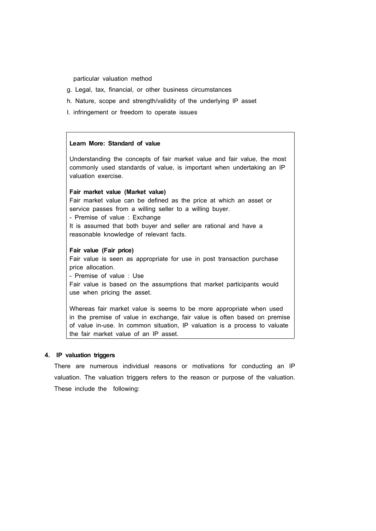particular valuation method

- g. Legal, tax, financial, or other business circumstances
- h. Nature, scope and strength/validity of the underlying IP asset
- I. infringement or freedom to operate issues

#### **Learn More: Standard of value**

Understanding the concepts of fair market value and fair value, the most commonly used standards of value, is important when undertaking an IP valuation exercise.

### **Fair market value (Market value)**

Fair market value can be defined as the price at which an asset or service passes from a willing seller to a willing buyer.<br>- Premise of value : Exchange

It is assumed that both buyer and seller are rational and have a reasonable knowledge of relevant facts.

#### **Fair value (Fair price)**

Fair value is seen as appropriate for use in post transaction purchase price allocation. - Premise of value : Use

Fair value is based on the assumptions that market participants would use when pricing the asset.

Whereas fair market value is seems to be more appropriate when used in the premise of value in exchange, fair value is often based on premise of value in-use. In common situation, IP valuation is a process to valuate the fair market value of an IP asset.

### **4. IP valuation triggers**

 There are numerous individual reasons or motivations for conducting an IP valuation. The valuation triggers refers to the reason or purpose of the valuation. These include the following: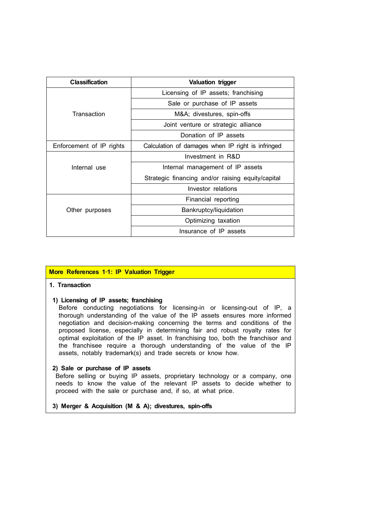| <b>Classification</b>    | Valuation trigger                                 |
|--------------------------|---------------------------------------------------|
|                          | Licensing of IP assets; franchising               |
|                          | Sale or purchase of IP assets                     |
| Transaction              | M&A divestures, spin-offs                         |
|                          | Joint venture or strategic alliance               |
|                          | Donation of IP assets                             |
| Enforcement of IP rights | Calculation of damages when IP right is infringed |
|                          | Investment in R&D                                 |
| Internal use             | Internal management of IP assets                  |
|                          | Strategic financing and/or raising equity/capital |
|                          | Investor relations                                |
|                          | Financial reporting                               |
| Other purposes           | Bankruptcy/liquidation                            |
|                          | Optimizing taxation                               |
|                          | Insurance of IP assets                            |

### **More References 1**‐**1: IP Valuation Trigger**

### **1. Transaction**

### **1) Licensing of IP assets; franchising**

Before conducting negotiations for licensing-in or licensing-out of IP, a thorough understanding of the value of the IP assets ensures more informed negotiation and decision-making concerning the terms and conditions of the proposed license, especially in determining fair and robust royalty rates for optimal exploitation of the IP asset. In franchising too, both the franchisor and the franchisee require a thorough understanding of the value of the IP assets, notably trademark(s) and trade secrets or know how.

#### **2) Sale or purchase of IP assets**

Before selling or buying IP assets, proprietary technology or a company, one needs to know the value of the relevant IP assets to decide whether to proceed with the sale or purchase and, if so, at what price.

### **3) Merger & Acquisition (M & A); divestures, spin-offs**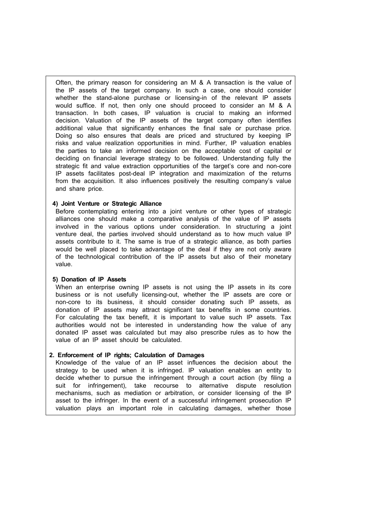Often, the primary reason for considering an M & A transaction is the value of the IP assets of the target company. In such a case, one should consider whether the stand-alone purchase or licensing-in of the relevant IP assets would suffice. If not, then only one should proceed to consider an M & A transaction. In both cases, IP valuation is crucial to making an informed decision. Valuation of the IP assets of the target company often identifies additional value that significantly enhances the final sale or purchase price. Doing so also ensures that deals are priced and structured by keeping IP risks and value realization opportunities in mind. Further, IP valuation enables the parties to take an informed decision on the acceptable cost of capital or deciding on financial leverage strategy to be followed. Understanding fully the strategic fit and value extraction opportunities of the target's core and non-core IP assets facilitates post-deal IP integration and maximization of the returns from the acquisition. It also influences positively the resulting company's value and share price.

#### **4) Joint Venture or Strategic Alliance**

Before contemplating entering into a joint venture or other types of strategic alliances one should make a comparative analysis of the value of IP assets involved in the various options under consideration. In structuring a joint venture deal, the parties involved should understand as to how much value IP assets contribute to it. The same is true of a strategic alliance, as both parties would be well placed to take advantage of the deal if they are not only aware of the technological contribution of the IP assets but also of their monetary value.

### **5) Donation of IP Assets**

When an enterprise owning IP assets is not using the IP assets in its core business or is not usefully licensing-out, whether the IP assets are core or non-core to its business, it should consider donating such IP assets, as donation of IP assets may attract significant tax benefits in some countries. For calculating the tax benefit, it is important to value such IP assets. Tax authorities would not be interested in understanding how the value of any donated IP asset was calculated but may also prescribe rules as to how the value of an IP asset should be calculated.

### **2. Enforcement of IP rights; Calculation of Damages**

Knowledge of the value of an IP asset influences the decision about the strategy to be used when it is infringed. IP valuation enables an entity to decide whether to pursue the infringement through a court action (by filing a suit for infringement), take recourse to alternative dispute resolution mechanisms, such as mediation or arbitration, or consider licensing of the IP asset to the infringer. In the event of a successful infringement prosecution IP valuation plays an important role in calculating damages, whether those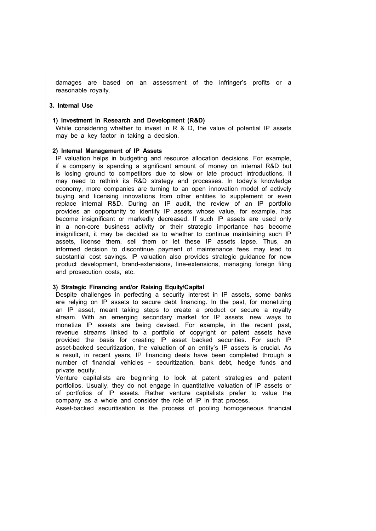damages are based on an assessment of the infringer's profits or a reasonable royalty.

### **3. Internal Use**

#### **1) Investment in Research and Development (R&D)**

While considering whether to invest in R & D, the value of potential IP assets may be a key factor in taking a decision.

#### **2) Internal Management of IP Assets**

IP valuation helps in budgeting and resource allocation decisions. For example, if a company is spending a significant amount of money on internal R&D but is losing ground to competitors due to slow or late product introductions, it may need to rethink its R&D strategy and processes. In today's knowledge economy, more companies are turning to an open innovation model of actively buying and licensing innovations from other entities to supplement or even replace internal R&D. During an IP audit, the review of an IP portfolio provides an opportunity to identify IP assets whose value, for example, has become insignificant or markedly decreased. If such IP assets are used only in a non-core business activity or their strategic importance has become insignificant, it may be decided as to whether to continue maintaining such IP assets, license them, sell them or let these IP assets lapse. Thus, an informed decision to discontinue payment of maintenance fees may lead to substantial cost savings. IP valuation also provides strategic guidance for new product development, brand-extensions, line-extensions, managing foreign filing and prosecution costs, etc.

#### **3) Strategic Financing and/or Raising Equity/Capital**

Despite challenges in perfecting a security interest in IP assets, some banks are relying on IP assets to secure debt financing. In the past, for monetizing an IP asset, meant taking steps to create a product or secure a royalty stream. With an emerging secondary market for IP assets, new ways to monetize IP assets are being devised. For example, in the recent past, revenue streams linked to a portfolio of copyright or patent assets have provided the basis for creating IP asset backed securities. For such IP asset-backed securitization, the valuation of an entity's IP assets is crucial. As a result, in recent years, IP financing deals have been completed through a number of financial vehicles – securitization, bank debt, hedge funds and private equity.

Venture capitalists are beginning to look at patent strategies and patent portfolios. Usually, they do not engage in quantitative valuation of IP assets or of portfolios of IP assets. Rather venture capitalists prefer to value the company as a whole and consider the role of IP in that process.

Asset-backed securitisation is the process of pooling homogeneous financial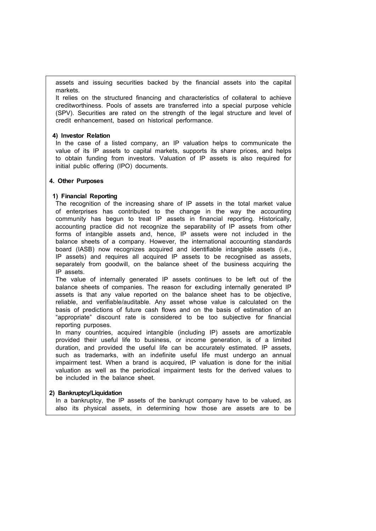assets and issuing securities backed by the financial assets into the capital markets.

It relies on the structured financing and characteristics of collateral to achieve creditworthiness. Pools of assets are transferred into a special purpose vehicle (SPV). Securities are rated on the strength of the legal structure and level of credit enhancement, based on historical performance.

#### **4) Investor Relation**

In the case of a listed company, an IP valuation helps to communicate the value of its IP assets to capital markets, supports its share prices, and helps to obtain funding from investors. Valuation of IP assets is also required for initial public offering (IPO) documents.

### **4. Other Purposes**

### **1) Financial Reporting**

The recognition of the increasing share of IP assets in the total market value of enterprises has contributed to the change in the way the accounting community has begun to treat IP assets in financial reporting. Historically, accounting practice did not recognize the separability of IP assets from other forms of intangible assets and, hence, IP assets were not included in the balance sheets of a company. However, the international accounting standards board (IASB) now recognizes acquired and identifiable intangible assets (i.e., IP assets) and requires all acquired IP assets to be recognised as assets, separately from goodwill, on the balance sheet of the business acquiring the IP assets.

The value of internally generated IP assets continues to be left out of the balance sheets of companies. The reason for excluding internally generated IP assets is that any value reported on the balance sheet has to be objective, reliable, and verifiable/auditable. Any asset whose value is calculated on the basis of predictions of future cash flows and on the basis of estimation of an "appropriate" discount rate is considered to be too subjective for financial reporting purposes.

In many countries, acquired intangible (including IP) assets are amortizable provided their useful life to business, or income generation, is of a limited duration, and provided the useful life can be accurately estimated. IP assets, such as trademarks, with an indefinite useful life must undergo an annual impairment test. When a brand is acquired, IP valuation is done for the initial valuation as well as the periodical impairment tests for the derived values to be included in the balance sheet.

### **2) Bankruptcy/Liquidation**

In a bankruptcy, the IP assets of the bankrupt company have to be valued, as also its physical assets, in determining how those are assets are to be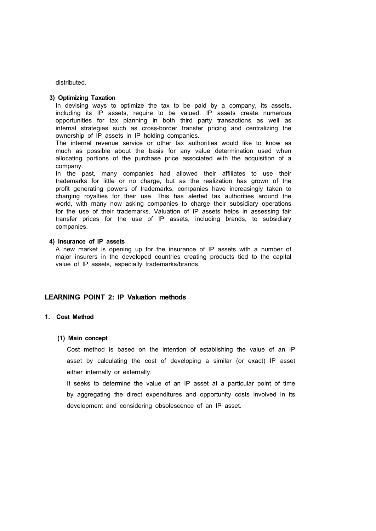#### distributed.

#### **3) Optimizing Taxation**

In devising ways to optimize the tax to be paid by a company, its assets, including its IP assets, require to be valued. IP assets create numerous opportunities for tax planning in both third party transactions as well as internal strategies such as cross-border transfer pricing and centralizing the ownership of IP assets in IP holding companies.

The internal revenue service or other tax authorities would like to know as much as possible about the basis for any value determination used when allocating portions of the purchase price associated with the acquisition of a company.

In the past, many companies had allowed their affiliates to use their trademarks for little or no charge, but as the realization has grown of the profit generating powers of trademarks, companies have increasingly taken to charging royalties for their use. This has alerted tax authorities around the world, with many now asking companies to charge their subsidiary operations for the use of their trademarks. Valuation of IP assets helps in assessing fair transfer prices for the use of IP assets, including brands, to subsidiary companies.

### **4) Insurance of IP assets**

A new market is opening up for the insurance of IP assets with a number of major insurers in the developed countries creating products tied to the capital value of IP assets, especially trademarks/brands.

### **LEARNING POINT 2: IP Valuation methods**

### **1. Cost Method**

#### **(1) Main concept**

 Cost method is based on the intention of establishing the value of an IP asset by calculating the cost of developing a similar (or exact) IP asset either internally or externally.

 It seeks to determine the value of an IP asset at a particular point of time by aggregating the direct expenditures and opportunity costs involved in its development and considering obsolescence of an IP asset.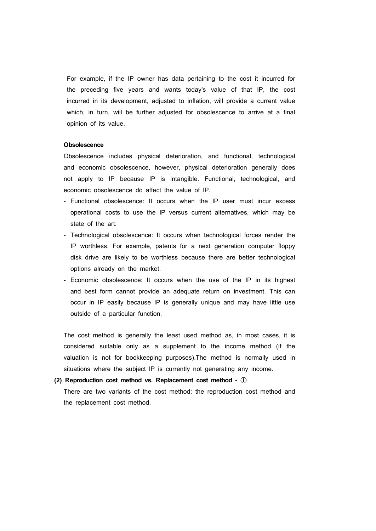For example, if the IP owner has data pertaining to the cost it incurred for the preceding five years and wants today's value of that IP, the cost incurred in its development, adjusted to inflation, will provide a current value which, in turn, will be further adjusted for obsolescence to arrive at a final opinion of its value.

#### **Obsolescence**

 Obsolescence includes physical deterioration, and functional, technological and economic obsolescence, however, physical deterioration generally does not apply to IP because IP is intangible. Functional, technological, and economic obsolescence do affect the value of IP.

- Functional obsolescence: It occurs when the IP user must incur excess operational costs to use the IP versus current alternatives, which may be state of the art.
- Technological obsolescence: It occurs when technological forces render the IP worthless. For example, patents for a next generation computer floppy disk drive are likely to be worthless because there are better technological options already on the market.
- Economic obsolescence: It occurs when the use of the IP in its highest and best form cannot provide an adequate return on investment. This can occur in IP easily because IP is generally unique and may have little use outside of a particular function.

 The cost method is generally the least used method as, in most cases, it is considered suitable only as a supplement to the income method (if the valuation is not for bookkeeping purposes).The method is normally used in situations where the subject IP is currently not generating any income.

### **(2) Reproduction cost method vs. Replacement cost method -** ①

 There are two variants of the cost method: the reproduction cost method and the replacement cost method.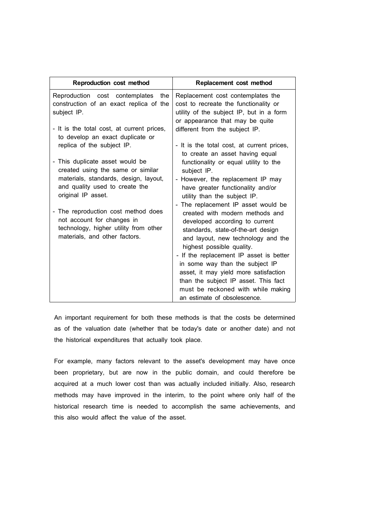| Reproduction cost method                                                                                                                    | Replacement cost method                                                                                                                                                                                                                                      |
|---------------------------------------------------------------------------------------------------------------------------------------------|--------------------------------------------------------------------------------------------------------------------------------------------------------------------------------------------------------------------------------------------------------------|
| Reproduction cost contemplates the<br>construction of an exact replica of the<br>subject IP.                                                | Replacement cost contemplates the<br>cost to recreate the functionality or<br>utility of the subject IP, but in a form<br>or appearance that may be quite                                                                                                    |
| - It is the total cost, at current prices,<br>to develop an exact duplicate or<br>replica of the subject IP.                                | different from the subject IP.<br>- It is the total cost, at current prices,                                                                                                                                                                                 |
| - This duplicate asset would be<br>created using the same or similar                                                                        | to create an asset having equal<br>functionality or equal utility to the<br>subject IP.                                                                                                                                                                      |
| materials, standards, design, layout,<br>and quality used to create the<br>original IP asset.                                               | However, the replacement IP may<br>have greater functionality and/or<br>utility than the subject IP.                                                                                                                                                         |
| - The reproduction cost method does<br>not account for changes in<br>technology, higher utility from other<br>materials, and other factors. | - The replacement IP asset would be<br>created with modern methods and<br>developed according to current<br>standards, state-of-the-art design<br>and layout, new technology and the<br>highest possible quality.<br>- If the replacement IP asset is better |
|                                                                                                                                             | in some way than the subject IP<br>asset, it may yield more satisfaction<br>than the subject IP asset. This fact<br>must be reckoned with while making<br>an estimate of obsolescence.                                                                       |

 An important requirement for both these methods is that the costs be determined as of the valuation date (whether that be today's date or another date) and not the historical expenditures that actually took place.

 For example, many factors relevant to the asset's development may have once been proprietary, but are now in the public domain, and could therefore be acquired at a much lower cost than was actually included initially. Also, research methods may have improved in the interim, to the point where only half of the historical research time is needed to accomplish the same achievements, and this also would affect the value of the asset.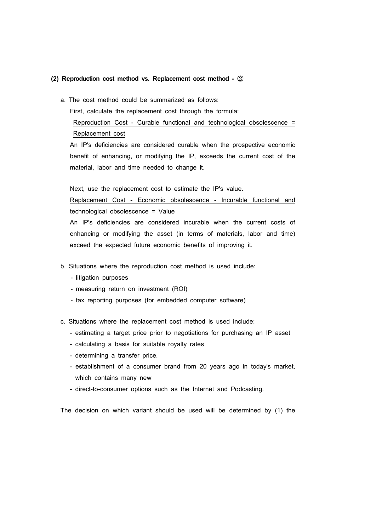### **(2) Reproduction cost method vs. Replacement cost method -** ②

a. The cost method could be summarized as follows:

First, calculate the replacement cost through the formula:

 Reproduction Cost - Curable functional and technological obsolescence = Replacement cost

 An IP's deficiencies are considered curable when the prospective economic benefit of enhancing, or modifying the IP, exceeds the current cost of the material, labor and time needed to change it.

Next, use the replacement cost to estimate the IP's value.

 Replacement Cost - Economic obsolescence - Incurable functional and technological obsolescence = Value

 An IP's deficiencies are considered incurable when the current costs of enhancing or modifying the asset (in terms of materials, labor and time) exceed the expected future economic benefits of improving it.

- b. Situations where the reproduction cost method is used include:
	- litigation purposes
	- measuring return on investment (ROI)
	- tax reporting purposes (for embedded computer software)
- c. Situations where the replacement cost method is used include:
	- estimating a target price prior to negotiations for purchasing an IP asset
	- calculating a basis for suitable royalty rates
	- determining a transfer price*.*
	- establishment of a consumer brand from 20 years ago in today's market, which contains many new
	- direct-to-consumer options such as the Internet and Podcasting.

The decision on which variant should be used will be determined by (1) the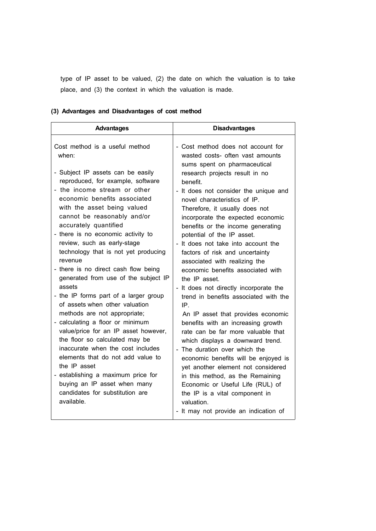type of IP asset to be valued, (2) the date on which the valuation is to take place, and (3) the context in which the valuation is made.

# **(3) Advantages and Disadvantages of cost method**

| <b>Disadvantages</b>                                                                                                                                                                                                                                                                                                                                                                                                                                                                                                                                                                                                                                                                                                                                                                                                                                                                                   |
|--------------------------------------------------------------------------------------------------------------------------------------------------------------------------------------------------------------------------------------------------------------------------------------------------------------------------------------------------------------------------------------------------------------------------------------------------------------------------------------------------------------------------------------------------------------------------------------------------------------------------------------------------------------------------------------------------------------------------------------------------------------------------------------------------------------------------------------------------------------------------------------------------------|
| - Cost method does not account for<br>wasted costs- often vast amounts<br>sums spent on pharmaceutical<br>research projects result in no<br>benefit.<br>- It does not consider the unique and<br>novel characteristics of IP.<br>Therefore, it usually does not<br>incorporate the expected economic<br>benefits or the income generating<br>potential of the IP asset.<br>- It does not take into account the<br>factors of risk and uncertainty<br>associated with realizing the<br>economic benefits associated with<br>the IP asset<br>- It does not directly incorporate the<br>trend in benefits associated with the<br>IP.<br>An IP asset that provides economic<br>benefits with an increasing growth<br>rate can be far more valuable that<br>which displays a downward trend.<br>- The duration over which the<br>economic benefits will be enjoyed is<br>yet another element not considered |
| in this method, as the Remaining<br>Economic or Useful Life (RUL) of<br>the IP is a vital component in<br>valuation.<br>- It may not provide an indication of                                                                                                                                                                                                                                                                                                                                                                                                                                                                                                                                                                                                                                                                                                                                          |
|                                                                                                                                                                                                                                                                                                                                                                                                                                                                                                                                                                                                                                                                                                                                                                                                                                                                                                        |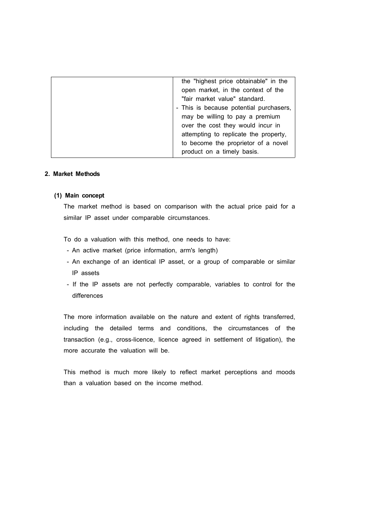| the "highest price obtainable" in the   |
|-----------------------------------------|
| open market, in the context of the      |
| "fair market value" standard.           |
| - This is because potential purchasers, |
| may be willing to pay a premium         |
| over the cost they would incur in       |
| attempting to replicate the property,   |
| to become the proprietor of a novel     |
| product on a timely basis.              |
|                                         |

### **2. Market Methods**

### **(1) Main concept**

 The market method is based on comparison with the actual price paid for a similar IP asset under comparable circumstances.

To do a valuation with this method, one needs to have:

- An active market (price information, arm's length)
- An exchange of an identical IP asset, or a group of comparable or similar IP assets
- If the IP assets are not perfectly comparable, variables to control for the differences

 The more information available on the nature and extent of rights transferred, including the detailed terms and conditions, the circumstances of the transaction (e.g., cross-licence, licence agreed in settlement of litigation), the more accurate the valuation will be.

 This method is much more likely to reflect market perceptions and moods than a valuation based on the income method.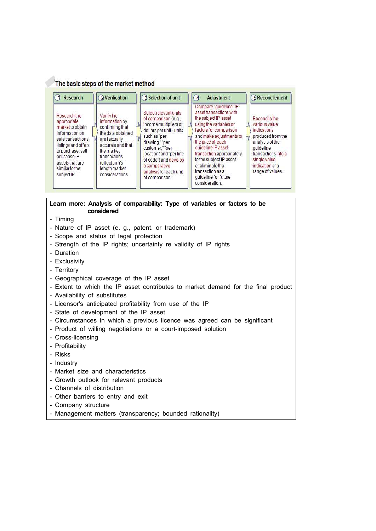### The basic steps of the market method

| <b>Research</b>                                                                                                                                                                                          | 2 Verification                                                                                                                                                                                | 3 Selection of unit                                                                                                                                                                                                                                                    | <b>Adjustment</b><br>4                                                                                                                                                                                                                                                                                                                          | <b>5Reconcilement</b>                                                                                                                                                            |
|----------------------------------------------------------------------------------------------------------------------------------------------------------------------------------------------------------|-----------------------------------------------------------------------------------------------------------------------------------------------------------------------------------------------|------------------------------------------------------------------------------------------------------------------------------------------------------------------------------------------------------------------------------------------------------------------------|-------------------------------------------------------------------------------------------------------------------------------------------------------------------------------------------------------------------------------------------------------------------------------------------------------------------------------------------------|----------------------------------------------------------------------------------------------------------------------------------------------------------------------------------|
| Research the<br>appropriate<br>market to obtain<br>information on<br>sale transactions.<br>listings and offers<br>to purchase, sell<br>or license IP<br>assets that are<br>similar to the<br>subject IP. | Verifythe<br>information by<br>confirming that<br>the data obtained<br>are factually<br>accurate and that<br>the market<br>transactions<br>reflect arm's-<br>length market<br>considerations. | Select relevant units<br>of comparison (e.g.,<br>income multipliers or<br>dollars per unit - units<br>such as "per<br>drawing.""per<br>customer.""per<br>location" and "per line<br>of code") and develop<br>a comparative<br>analysis for each unit<br>of comparison. | Compare "guideline" IP<br>asset transactions with<br>the subject IP asset<br>using the variables or<br>factors for comparison<br>and make adjustments to<br>the price of each<br>quideline IP asset<br>transaction appropriately<br>to the subject IP asset -<br>or eliminate the<br>transaction as a<br>quideline for future<br>consideration. | Reconcile the<br>various value<br>indications<br>produced from the<br>analysis of the<br>quideline<br>transactions into a<br>single value<br>indication or a<br>range of values. |

# **Learn more: Analysis of comparability: Type of variables or factors to be considered**

- Timing
- Nature of IP asset (e. g., patent. or trademark)
- Scope and status of legal protection
- Strength of the IP rights; uncertainty re validity of IP rights
- Duration
- Exclusivity
- Territory
- Geographical coverage of the IP asset
- Extent to which the IP asset contributes to market demand for the final product
- Availability of substitutes
- Licensor's anticipated profitability from use of the IP
- State of development of the IP asset
- Circumstances in which a previous licence was agreed can be significant
- Product of willing negotiations or a court-imposed solution
- Cross-licensing
- Profitability
- Risks
- Industry
- Market size and characteristics
- Growth outlook for relevant products
- Channels of distribution
- Other barriers to entry and exit
- Company structure
- Management matters (transparency; bounded rationality)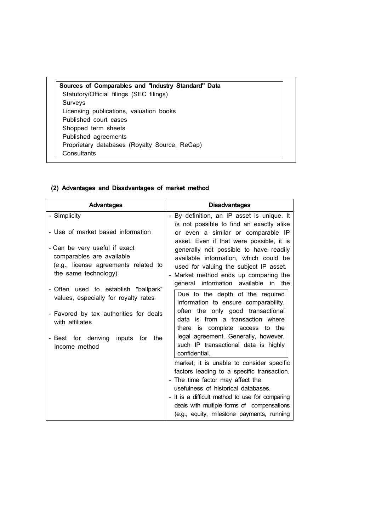**Sources of Comparables and "Industry Standard" Data** Statutory/Official filings (SEC filings) Surveys Licensing publications, valuation books Published court cases Shopped term sheets Published agreements Proprietary databases (Royalty Source, ReCap) **Consultants** 

### **(2) Advantages and Disadvantages of market method**

| <b>Disadvantages</b>                                                                                                                                                                                                                                                                                              |
|-------------------------------------------------------------------------------------------------------------------------------------------------------------------------------------------------------------------------------------------------------------------------------------------------------------------|
| - By definition, an IP asset is unique. It<br>is not possible to find an exactly alike                                                                                                                                                                                                                            |
| or even a similar or comparable IP<br>asset. Even if that were possible, it is<br>generally not possible to have readily<br>available information, which could be                                                                                                                                                 |
| used for valuing the subject IP asset.<br>- Market method ends up comparing the<br>general information available<br>in the                                                                                                                                                                                        |
| Due to the depth of the required<br>information to ensure comparability,                                                                                                                                                                                                                                          |
| often the only good transactional<br>data is from a transaction where<br>there is complete access to the                                                                                                                                                                                                          |
| legal agreement. Generally, however,<br>such IP transactional data is highly<br>confidential.                                                                                                                                                                                                                     |
| market; it is unable to consider specific<br>factors leading to a specific transaction.<br>- The time factor may affect the<br>usefulness of historical databases.<br>- It is a difficult method to use for comparing<br>deals with multiple forms of compensations<br>(e.g., equity, milestone payments, running |
|                                                                                                                                                                                                                                                                                                                   |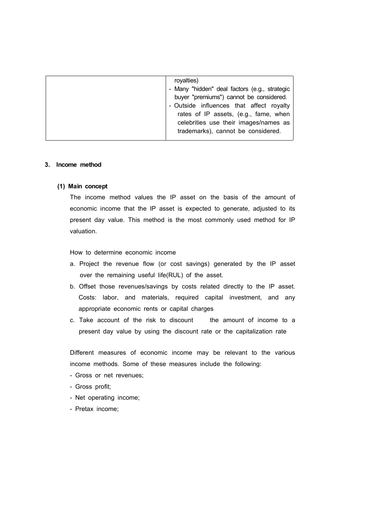| rovalties)<br>- Many "hidden" deal factors (e.g., strategic<br>buyer "premiums") cannot be considered.<br>- Outside influences that affect royalty<br>rates of IP assets, (e.g., fame, when<br>celebrities use their images/names as<br>trademarks), cannot be considered. |
|----------------------------------------------------------------------------------------------------------------------------------------------------------------------------------------------------------------------------------------------------------------------------|
|----------------------------------------------------------------------------------------------------------------------------------------------------------------------------------------------------------------------------------------------------------------------------|

#### **3. Income method**

#### **(1) Main concept**

 The income method values the IP asset on the basis of the amount of economic income that the IP asset is expected to generate, adjusted to its present day value. This method is the most commonly used method for IP valuation.

How to determine economic income

- a. Project the revenue flow (or cost savings) generated by the IP asset over the remaining useful life(RUL) of the asset.
- b. Offset those revenues/savings by costs related directly to the IP asset. Costs: labor, and materials, required capital investment, and any appropriate economic rents or capital charges
- c. Take account of the risk to discount the amount of income to a present day value by using the discount rate or the capitalization rate

 Different measures of economic income may be relevant to the various income methods. Some of these measures include the following:

- Gross or net revenues;
- Gross profit;
- Net operating income;
- Pretax income;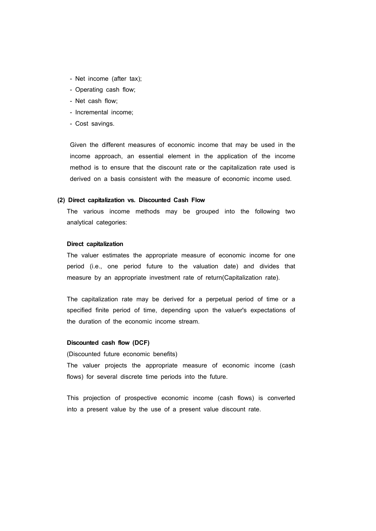- Net income (after tax);
- Operating cash flow;
- Net cash flow;
- Incremental income;
- Cost savings.

 Given the different measures of economic income that may be used in the income approach, an essential element in the application of the income method is to ensure that the discount rate or the capitalization rate used is derived on a basis consistent with the measure of economic income used.

#### **(2) Direct capitalization vs. Discounted Cash Flow**

 The various income methods may be grouped into the following two analytical categories:

#### **Direct capitalization**

 The valuer estimates the appropriate measure of economic income for one period (i.e., one period future to the valuation date) and divides that measure by an appropriate investment rate of return(Capitalization rate).

 The capitalization rate may be derived for a perpetual period of time or a specified finite period of time, depending upon the valuer's expectations of the duration of the economic income stream.

#### **Discounted cash flow (DCF)**

(Discounted future economic benefits)

The valuer projects the appropriate measure of economic income (cash flows) for several discrete time periods into the future.

This projection of prospective economic income (cash flows) is converted into a present value by the use of a present value discount rate.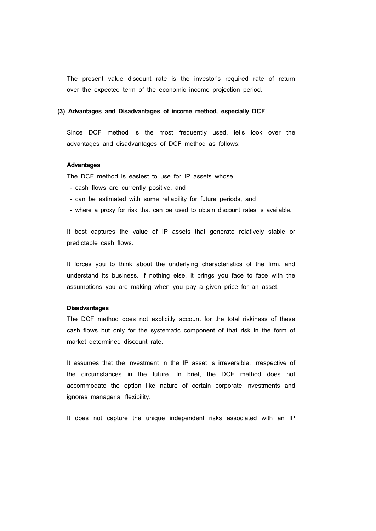The present value discount rate is the investor's required rate of return over the expected term of the economic income projection period.

#### **(3) Advantages and Disadvantages of income method, especially DCF**

Since DCF method is the most frequently used, let's look over the advantages and disadvantages of DCF method as follows:

#### **Advantages**

The DCF method is easiest to use for IP assets whose

- cash flows are currently positive, and
- can be estimated with some reliability for future periods, and
- where a proxy for risk that can be used to obtain discount rates is available.

It best captures the value of IP assets that generate relatively stable or predictable cash flows.

It forces you to think about the underlying characteristics of the firm, and understand its business. If nothing else, it brings you face to face with the assumptions you are making when you pay a given price for an asset.

#### **Disadvantages**

The DCF method does not explicitly account for the total riskiness of these cash flows but only for the systematic component of that risk in the form of market determined discount rate.

It assumes that the investment in the IP asset is irreversible, irrespective of the circumstances in the future. In brief, the DCF method does not accommodate the option like nature of certain corporate investments and ignores managerial flexibility.

It does not capture the unique independent risks associated with an IP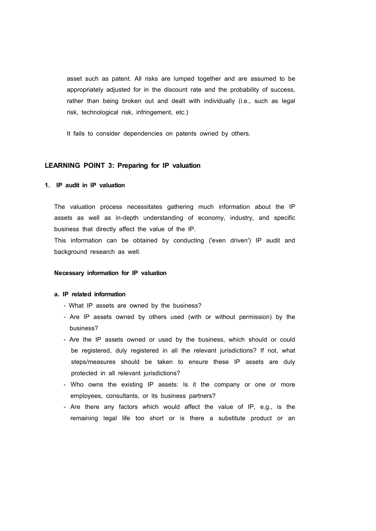asset such as patent. All risks are lumped together and are assumed to be appropriately adjusted for in the discount rate and the probability of success, rather than being broken out and dealt with individually (i.e., such as legal risk, technological risk, infringement, etc.)

It fails to consider dependencies on patents owned by others.

### **LEARNING POINT 3: Preparing for IP valuation**

### **1. IP audit in IP valuation**

 The valuation process necessitates gathering much information about the IP assets as well as in-depth understanding of economy, industry, and specific business that directly affect the value of the IP.

 This information can be obtained by conducting ('even driven') IP audit and background research as well.

#### **Necessary information for IP valuation**

#### **a. IP related information**

- What IP assets are owned by the business?
- Are IP assets owned by others used (with or without permission) by the business?
- Are the IP assets owned or used by the business, which should or could be registered, duly registered in all the relevant jurisdictions? If not, what steps/measures should be taken to ensure these IP assets are duly protected in all relevant jurisdictions?
- Who owns the existing IP assets: Is it the company or one or more employees, consultants, or its business partners?
- Are there any factors which would affect the value of IP, e.g., is the remaining legal life too short or is there a substitute product or an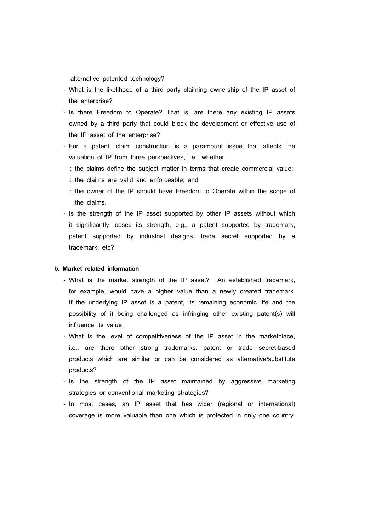alternative patented technology?

- What is the likelihood of a third party claiming ownership of the IP asset of the enterprise?
- Is there Freedom to Operate? That is, are there any existing IP assets owned by a third party that could block the development or effective use of the IP asset of the enterprise?
- For a patent, claim construction is a paramount issue that affects the valuation of IP from three perspectives, i.e., whether
	- : the claims define the subject matter in terms that create commercial value;
	- : the claims are valid and enforceable; and
	- : the owner of the IP should have Freedom to Operate within the scope of the claims.
- Is the strength of the IP asset supported by other IP assets without which it significantly looses its strength, e.g., a patent supported by trademark, patent supported by industrial designs, trade secret supported by a trademark, etc?

#### **b. Market related information**

- What is the market strength of the IP asset? An established trademark, for example, would have a higher value than a newly created trademark. If the underlying IP asset is a patent, its remaining economic life and the possibility of it being challenged as infringing other existing patent(s) will influence its value.
- What is the level of competitiveness of the IP asset in the marketplace, i.e., are there other strong trademarks, patent or trade secret-based products which are similar or can be considered as alternative/substitute products?
- Is the strength of the IP asset maintained by aggressive marketing strategies or conventional marketing strategies?
- In most cases, an IP asset that has wider (regional or international) coverage is more valuable than one which is protected in only one country.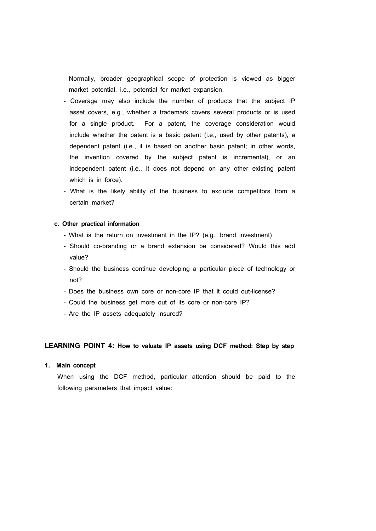Normally, broader geographical scope of protection is viewed as bigger market potential, i.e., potential for market expansion.

- Coverage may also include the number of products that the subject IP asset covers, e.g., whether a trademark covers several products or is used for a single product. For a patent, the coverage consideration would include whether the patent is a basic patent (i.e., used by other patents), a dependent patent (i.e., it is based on another basic patent; in other words, the invention covered by the subject patent is incremental), or an independent patent (i.e., it does not depend on any other existing patent which is in force).
- What is the likely ability of the business to exclude competitors from a certain market?

#### **c. Other practical information**

- What is the return on investment in the IP? (e.g., brand investment)
- Should co-branding or a brand extension be considered? Would this add value?
- Should the business continue developing a particular piece of technology or not?
- Does the business own core or non-core IP that it could out-license?
- Could the business get more out of its core or non-core IP?
- Are the IP assets adequately insured?

### **LEARNING POINT 4: How to valuate IP assets using DCF method: Step by step**

### **1. Main concept**

 When using the DCF method, particular attention should be paid to the following parameters that impact value: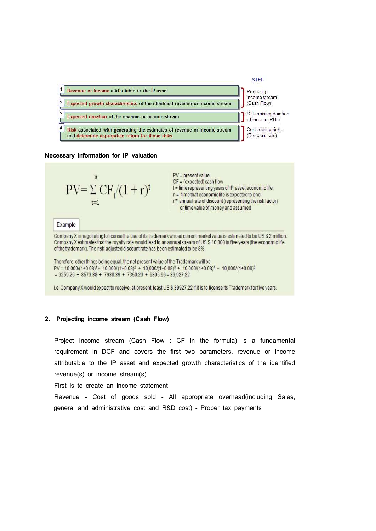

#### **Necessary information for IP valuation**



 $PV = present value$  $CF = (expected) cash flow$ t = time representing years of IP asset economic life  $n =$  time that economic life is expected to end  $r \equiv$  annual rate of discount (representing the risk factor) or time value of money and assumed

#### Example

Company X is negotiating to license the use of its trademark whose current market value is estimated to be US\$2 million. Company X estimates that the royalty rate would lead to an annual stream of US\$ 10.000 in five years (the economic life of the trademark). The risk-adjusted discount rate has been estimated to be 8%.

Therefore, other things being equal, the net present value of the Trademark will be  $PV = 10,000/(1+0.08)^1 + 10,000/(1+0.08)^2 + 10,000/(1+0.08)^3 + 10,000/(1+0.08)^4 + 10,000/(1+0.08)^5$  $= 9259.26 + 8573.38 + 7938.39 + 7350.23 + 6805.96 = 39,927.22$ 

i.e. Company X would expect to receive, at present, least US \$39927.22 if it is to license its Trademark for five years.

### **2. Projecting income stream (Cash Flow)**

 Project Income stream (Cash Flow : CF in the formula) is a fundamental requirement in DCF and covers the first two parameters, revenue or income attributable to the IP asset and expected growth characteristics of the identified revenue(s) or income stream(s).

First is to create an income statement

Revenue - Cost of goods sold - All appropriate overhead(including Sales, general and administrative cost and R&D cost) - Proper tax payments

#### **STEP**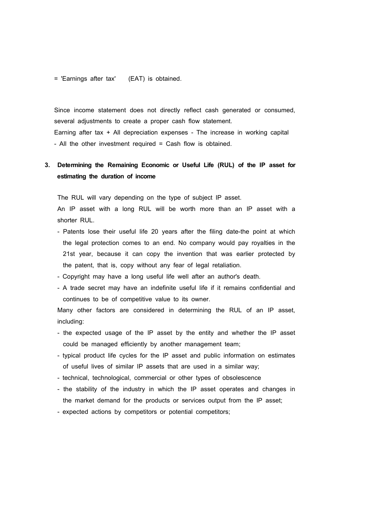= 'Earnings after tax' (EAT) is obtained.

 Since income statement does not directly reflect cash generated or consumed, several adjustments to create a proper cash flow statement. Earning after tax + All depreciation expenses - The increase in working capital - All the other investment required = Cash flow is obtained.

# **3. Determining the Remaining Economic or Useful Life (RUL) of the IP asset for estimating the duration of income**

The RUL will vary depending on the type of subject IP asset.

 An IP asset with a long RUL will be worth more than an IP asset with a shorter RUL.

- Patents lose their useful life 20 years after the filing date-the point at which the legal protection comes to an end. No company would pay royalties in the 21st year, because it can copy the invention that was earlier protected by the patent, that is, copy without any fear of legal retaliation.
- Copyright may have a long useful life well after an author's death.
- A trade secret may have an indefinite useful life if it remains confidential and continues to be of competitive value to its owner.

 Many other factors are considered in determining the RUL of an IP asset, including:

- the expected usage of the IP asset by the entity and whether the IP asset could be managed efficiently by another management team;
- typical product life cycles for the IP asset and public information on estimates of useful lives of similar IP assets that are used in a similar way;
- technical, technological, commercial or other types of obsolescence
- the stability of the industry in which the IP asset operates and changes in the market demand for the products or services output from the IP asset;
- expected actions by competitors or potential competitors;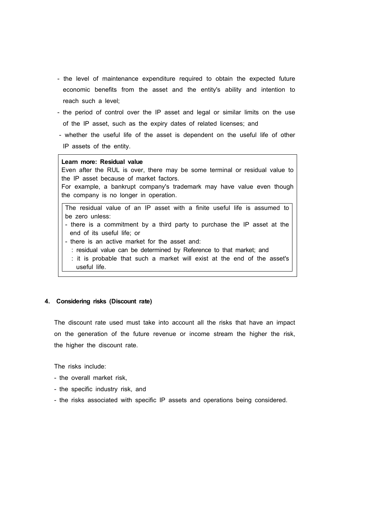- the level of maintenance expenditure required to obtain the expected future economic benefits from the asset and the entity's ability and intention to reach such a level;
- the period of control over the IP asset and legal or similar limits on the use of the IP asset, such as the expiry dates of related licenses; and
- whether the useful life of the asset is dependent on the useful life of other IP assets of the entity.

### **Learn more: Residual value**

Even after the RUL is over, there may be some terminal or residual value to the IP asset because of market factors.

For example, a bankrupt company's trademark may have value even though the company is no longer in operation.

The residual value of an IP asset with a finite useful life is assumed to be zero unless:<br>- there is a commitment by a third party to purchase the IP asset at the

- end of its useful life; or<br>- there is an active market for the asset and:
- - : residual value can be determined by Reference to that market; and
- : it is probable that such a market will exist at the end of the asset's useful life.

### **4. Considering risks (Discount rate)**

 The discount rate used must take into account all the risks that have an impact on the generation of the future revenue or income stream the higher the risk, the higher the discount rate.

The risks include:

- the overall market risk,
- the specific industry risk, and
- the risks associated with specific IP assets and operations being considered.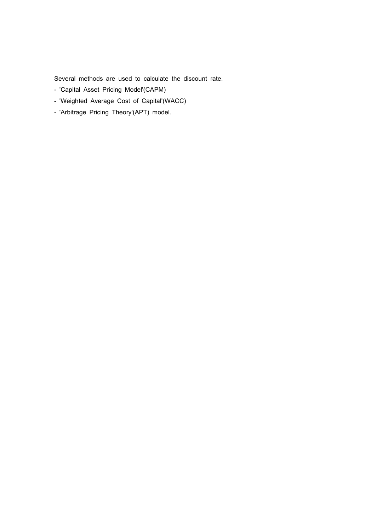Several methods are used to calculate the discount rate.

- 'Capital Asset Pricing Model'(CAPM)
- 'Weighted Average Cost of Capital'(WACC)
- 'Arbitrage Pricing Theory'(APT) model.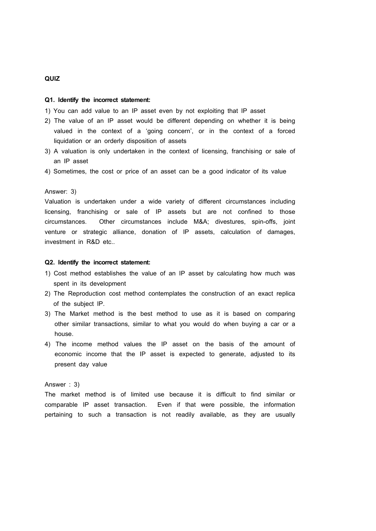### **QUIZ**

#### **Q1. Identify the incorrect statement:**

1) You can add value to an IP asset even by not exploiting that IP asset

- 2) The value of an IP asset would be different depending on whether it is being valued in the context of a 'going concern', or in the context of a forced liquidation or an orderly disposition of assets
- 3) A valuation is only undertaken in the context of licensing, franchising or sale of an IP asset
- 4) Sometimes, the cost or price of an asset can be a good indicator of its value

#### Answer: 3)

Valuation is undertaken under a wide variety of different circumstances including licensing, franchising or sale of IP assets but are not confined to those circumstances. Other circumstances include M&A; divestures, spin-offs, joint venture or strategic alliance, donation of IP assets, calculation of damages, investment in R&D etc..

### **Q2. Identify the incorrect statement:**

- 1) Cost method establishes the value of an IP asset by calculating how much was spent in its development
- 2) The Reproduction cost method contemplates the construction of an exact replica of the subject IP.
- 3) The Market method is the best method to use as it is based on comparing other similar transactions, similar to what you would do when buying a car or a house.
- 4) The income method values the IP asset on the basis of the amount of economic income that the IP asset is expected to generate, adjusted to its present day value

#### Answer : 3)

The market method is of limited use because it is difficult to find similar or comparable IP asset transaction. Even if that were possible, the information pertaining to such a transaction is not readily available, as they are usually